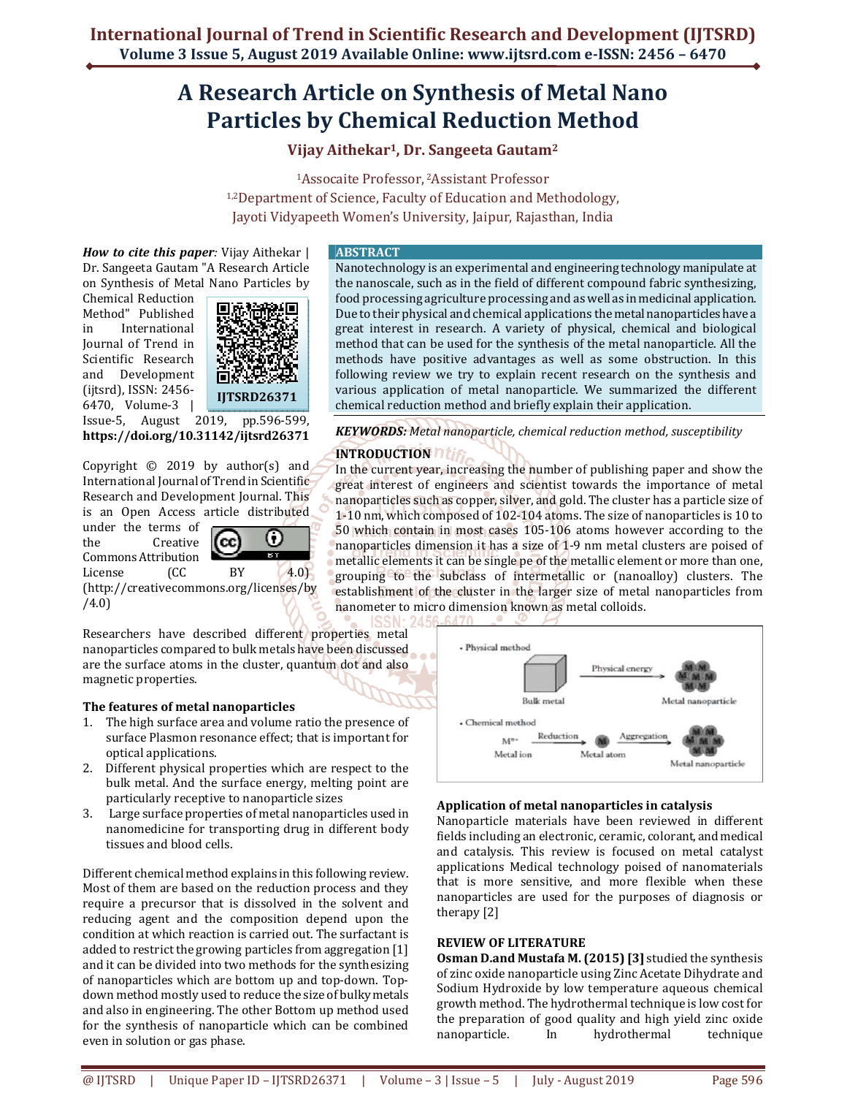# **A Research Article on Synthesis of Metal Nano Particles by Chemical Reduction Method**

**Vijay Aithekar1, Dr. Sangeeta Gautam<sup>2</sup>**

<sup>1</sup>Assocaite Professor, 2Assistant Professor 1,2Department of Science, Faculty of Education and Methodology, Jayoti Vidyapeeth Women's University, Jaipur, Rajasthan, India

*How to cite this paper:* Vijay Aithekar | Dr. Sangeeta Gautam "A Research Article on Synthesis of Metal Nano Particles by

Chemical Reduction Method" Published in International Journal of Trend in Scientific Research and Development (ijtsrd), ISSN: 2456- 6470, Volume-3 |



Issue-5, August 2019, pp.596-599, **https://doi.org/10.31142/ijtsrd26371**

Copyright  $\odot$  2019 by author(s) and International Journal of Trend in Scientific Research and Development Journal. This is an Open Access article distributed

under the terms of the Creative Commons Attribution

0 (cc **TETT** 

License (CC BY 4.0) (http://creativecommons.org/licenses/by /4.0)

Researchers have described different properties metal nanoparticles compared to bulk metals have been discussed are the surface atoms in the cluster, quantum dot and also magnetic properties.

## **The features of metal nanoparticles**

- 1. The high surface area and volume ratio the presence of surface Plasmon resonance effect; that is important for optical applications.
- 2. Different physical properties which are respect to the bulk metal. And the surface energy, melting point are particularly receptive to nanoparticle sizes
- 3. Large surface properties of metal nanoparticles used in nanomedicine for transporting drug in different body tissues and blood cells.

Different chemical method explains in this following review. Most of them are based on the reduction process and they require a precursor that is dissolved in the solvent and reducing agent and the composition depend upon the condition at which reaction is carried out. The surfactant is added to restrict the growing particles from aggregation [1] and it can be divided into two methods for the synthesizing of nanoparticles which are bottom up and top-down. Topdown method mostly used to reduce the size of bulky metals and also in engineering. The other Bottom up method used for the synthesis of nanoparticle which can be combined even in solution or gas phase.

#### **ABSTRACT**

Nanotechnology is an experimental and engineering technology manipulate at the nanoscale, such as in the field of different compound fabric synthesizing, food processing agriculture processing and as well as in medicinal application. Due to their physical and chemical applications the metal nanoparticles have a great interest in research. A variety of physical, chemical and biological method that can be used for the synthesis of the metal nanoparticle. All the methods have positive advantages as well as some obstruction. In this following review we try to explain recent research on the synthesis and various application of metal nanoparticle. We summarized the different chemical reduction method and briefly explain their application.

*KEYWORDS: Metal nanoparticle, chemical reduction method, susceptibility* 

# **INTRODUCTION**

In the current year, increasing the number of publishing paper and show the great interest of engineers and scientist towards the importance of metal nanoparticles such as copper, silver, and gold. The cluster has a particle size of 1-10 nm, which composed of 102-104 atoms. The size of nanoparticles is 10 to 50 which contain in most cases 105-106 atoms however according to the nanoparticles dimension it has a size of 1-9 nm metal clusters are poised of metallic elements it can be single pe of the metallic element or more than one, grouping to the subclass of intermetallic or (nanoalloy) clusters. The establishment of the cluster in the larger size of metal nanoparticles from nanometer to micro dimension known as metal colloids.



## **Application of metal nanoparticles in catalysis**

Nanoparticle materials have been reviewed in different fields including an electronic, ceramic, colorant, and medical and catalysis. This review is focused on metal catalyst applications Medical technology poised of nanomaterials that is more sensitive, and more flexible when these nanoparticles are used for the purposes of diagnosis or therapy [2]

#### **REVIEW OF LITERATURE**

**Osman D.and Mustafa M. (2015) [3]** studied the synthesis of zinc oxide nanoparticle using Zinc Acetate Dihydrate and Sodium Hydroxide by low temperature aqueous chemical growth method. The hydrothermal technique is low cost for the preparation of good quality and high yield zinc oxide nanoparticle. In hydrothermal technique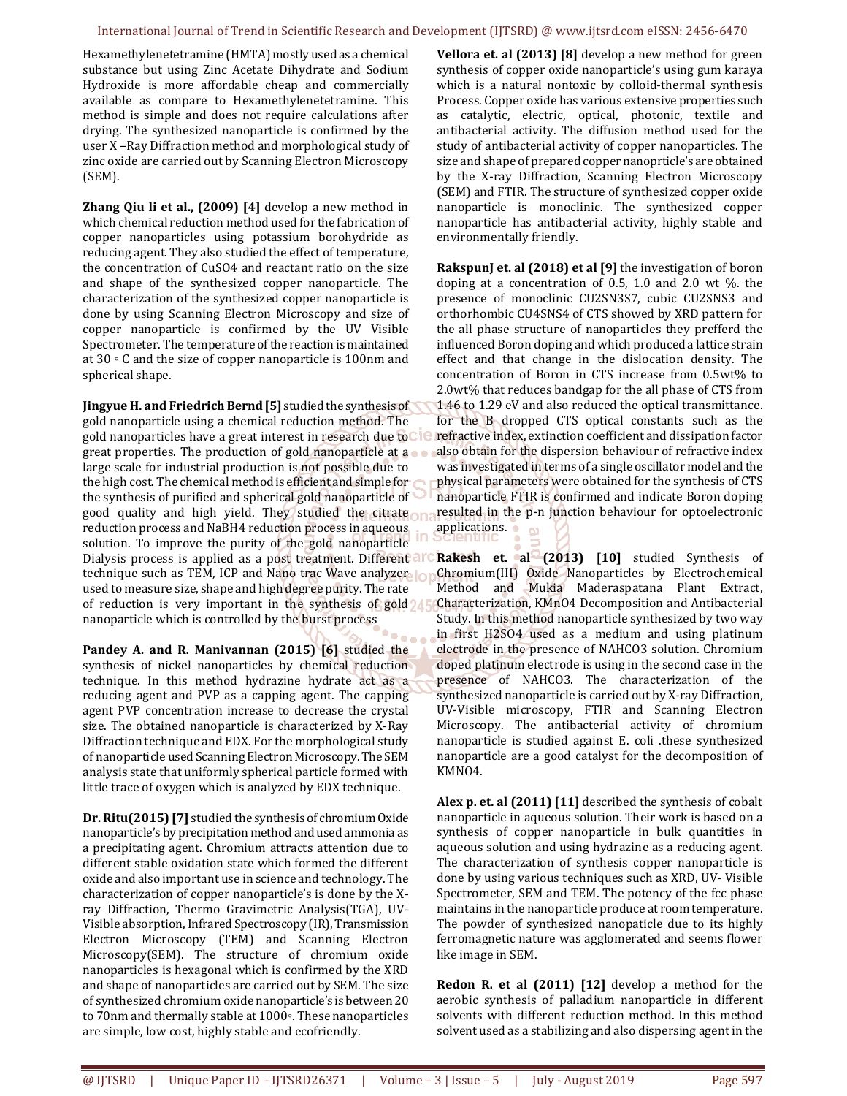#### International Journal of Trend in Scientific Research and Development (IJTSRD) @ www.ijtsrd.com eISSN: 2456-6470

Hexamethylenetetramine (HMTA) mostly used as a chemical substance but using Zinc Acetate Dihydrate and Sodium Hydroxide is more affordable cheap and commercially available as compare to Hexamethylenetetramine. This method is simple and does not require calculations after drying. The synthesized nanoparticle is confirmed by the user X –Ray Diffraction method and morphological study of zinc oxide are carried out by Scanning Electron Microscopy (SEM).

**Zhang Qiu li et al., (2009) [4]** develop a new method in which chemical reduction method used for the fabrication of copper nanoparticles using potassium borohydride as reducing agent. They also studied the effect of temperature, the concentration of CuSO4 and reactant ratio on the size and shape of the synthesized copper nanoparticle. The characterization of the synthesized copper nanoparticle is done by using Scanning Electron Microscopy and size of copper nanoparticle is confirmed by the UV Visible Spectrometer. The temperature of the reaction is maintained at 30 ◦ C and the size of copper nanoparticle is 100nm and spherical shape.

**Jingyue H. and Friedrich Bernd [5]** studied the synthesis of gold nanoparticle using a chemical reduction method. The gold nanoparticles have a great interest in research due to great properties. The production of gold nanoparticle at a large scale for industrial production is not possible due to the high cost. The chemical method is efficient and simple for the synthesis of purified and spherical gold nanoparticle of good quality and high yield. They studied the citrate reduction process and NaBH4 reduction process in aqueous solution. To improve the purity of the gold nanoparticle Dialysis process is applied as a post treatment. Different allo technique such as TEM, ICP and Nano trac Wave analyzer used to measure size, shape and high degree purity. The rate of reduction is very important in the synthesis of gold nanoparticle which is controlled by the burst process

**Pandey A. and R. Manivannan (2015) [6]** studied the synthesis of nickel nanoparticles by chemical reduction technique. In this method hydrazine hydrate act as a reducing agent and PVP as a capping agent. The capping agent PVP concentration increase to decrease the crystal size. The obtained nanoparticle is characterized by X-Ray Diffraction technique and EDX. For the morphological study of nanoparticle used Scanning Electron Microscopy. The SEM analysis state that uniformly spherical particle formed with little trace of oxygen which is analyzed by EDX technique.

**Dr. Ritu(2015) [7]** studied the synthesis of chromium Oxide nanoparticle's by precipitation method and used ammonia as a precipitating agent. Chromium attracts attention due to different stable oxidation state which formed the different oxide and also important use in science and technology. The characterization of copper nanoparticle's is done by the Xray Diffraction, Thermo Gravimetric Analysis(TGA), UV-Visible absorption, Infrared Spectroscopy (IR), Transmission Electron Microscopy (TEM) and Scanning Electron Microscopy(SEM). The structure of chromium oxide nanoparticles is hexagonal which is confirmed by the XRD and shape of nanoparticles are carried out by SEM. The size of synthesized chromium oxide nanoparticle's is between 20 to 70nm and thermally stable at 1000◦. These nanoparticles are simple, low cost, highly stable and ecofriendly.

**Vellora et. al (2013) [8]** develop a new method for green synthesis of copper oxide nanoparticle's using gum karaya which is a natural nontoxic by colloid-thermal synthesis Process. Copper oxide has various extensive properties such as catalytic, electric, optical, photonic, textile and antibacterial activity. The diffusion method used for the study of antibacterial activity of copper nanoparticles. The size and shape of prepared copper nanoprticle's are obtained by the X-ray Diffraction, Scanning Electron Microscopy (SEM) and FTIR. The structure of synthesized copper oxide nanoparticle is monoclinic. The synthesized copper nanoparticle has antibacterial activity, highly stable and environmentally friendly.

**RakspunJ et. al (2018) et al [9]** the investigation of boron doping at a concentration of 0.5, 1.0 and 2.0 wt  $\%$ . the presence of monoclinic CU2SN3S7, cubic CU2SNS3 and orthorhombic CU4SNS4 of CTS showed by XRD pattern for the all phase structure of nanoparticles they prefferd the influenced Boron doping and which produced a lattice strain effect and that change in the dislocation density. The concentration of Boron in CTS increase from 0.5wt% to 2.0wt% that reduces bandgap for the all phase of CTS from 1.46 to 1.29 eV and also reduced the optical transmittance. for the B dropped CTS optical constants such as the refractive index, extinction coefficient and dissipation factor also obtain for the dispersion behaviour of refractive index was investigated in terms of a single oscillator model and the physical parameters were obtained for the synthesis of CTS nanoparticle FTIR is confirmed and indicate Boron doping resulted in the p-n junction behaviour for optoelectronic applications.

**Rakesh et. al (2013) [10]** studied Synthesis of Chromium(III) Oxide Nanoparticles by Electrochemical Method and Mukia Maderaspatana Plant Extract, Characterization, KMnO4 Decomposition and Antibacterial Study. In this method nanoparticle synthesized by two way in first H2SO4 used as a medium and using platinum electrode in the presence of NAHCO3 solution. Chromium doped platinum electrode is using in the second case in the presence of NAHCO3. The characterization of the synthesized nanoparticle is carried out by X-ray Diffraction, UV-Visible microscopy, FTIR and Scanning Electron Microscopy. The antibacterial activity of chromium nanoparticle is studied against E. coli .these synthesized nanoparticle are a good catalyst for the decomposition of KMNO4.

**Alex p. et. al (2011) [11]** described the synthesis of cobalt nanoparticle in aqueous solution. Their work is based on a synthesis of copper nanoparticle in bulk quantities in aqueous solution and using hydrazine as a reducing agent. The characterization of synthesis copper nanoparticle is done by using various techniques such as XRD, UV- Visible Spectrometer, SEM and TEM. The potency of the fcc phase maintains in the nanoparticle produce at room temperature. The powder of synthesized nanopaticle due to its highly ferromagnetic nature was agglomerated and seems flower like image in SEM.

**Redon R. et al (2011) [12]** develop a method for the aerobic synthesis of palladium nanoparticle in different solvents with different reduction method. In this method solvent used as a stabilizing and also dispersing agent in the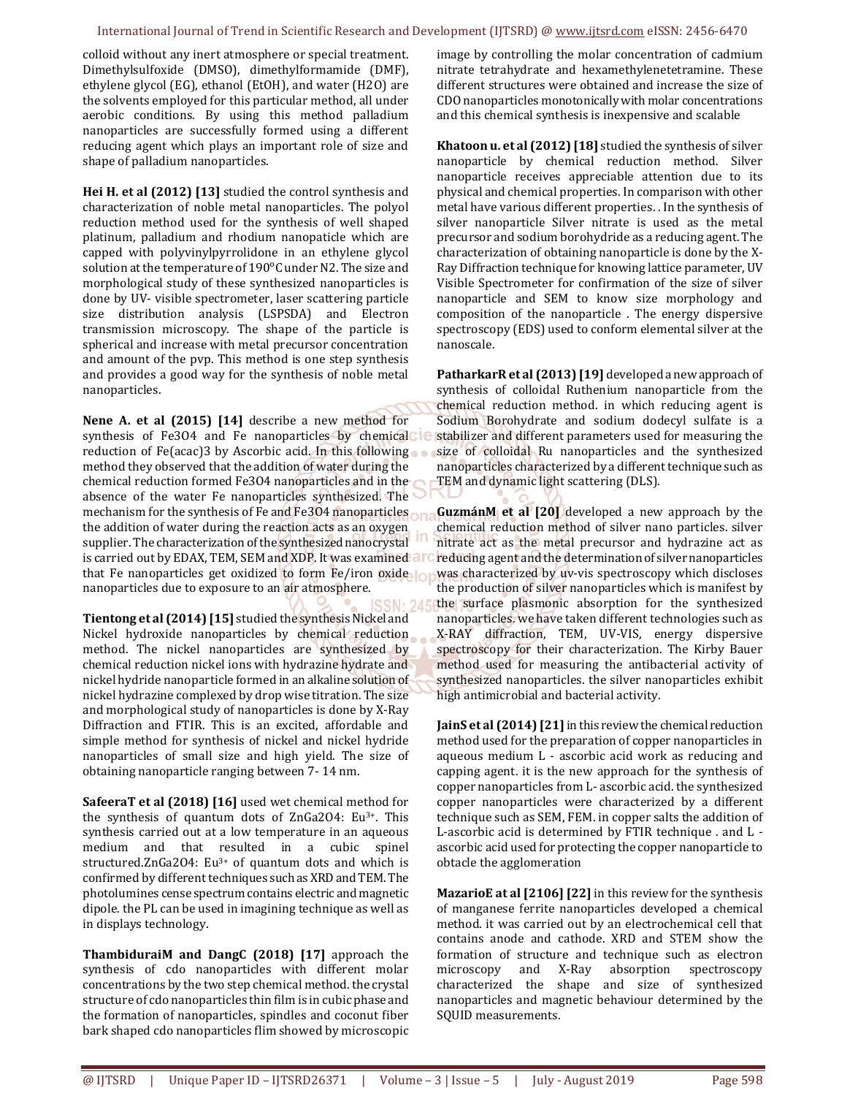#### International Journal of Trend in Scientific Research and Development (IJTSRD) @ www.ijtsrd.com eISSN: 2456-6470

colloid without any inert atmosphere or special treatment. Dimethylsulfoxide (DMSO), dimethylformamide (DMF), ethylene glycol (EG), ethanol (EtOH), and water (H2O) are the solvents employed for this particular method, all under aerobic conditions. By using this method palladium nanoparticles are successfully formed using a different reducing agent which plays an important role of size and shape of palladium nanoparticles.

**Hei H. et al (2012) [13]** studied the control synthesis and characterization of noble metal nanoparticles. The polyol reduction method used for the synthesis of well shaped platinum, palladium and rhodium nanopaticle which are capped with polyvinylpyrrolidone in an ethylene glycol solution at the temperature of 190°C under N2. The size and morphological study of these synthesized nanoparticles is done by UV- visible spectrometer, laser scattering particle size distribution analysis (LSPSDA) and Electron transmission microscopy. The shape of the particle is spherical and increase with metal precursor concentration and amount of the pvp. This method is one step synthesis and provides a good way for the synthesis of noble metal nanoparticles.

**Nene A. et al (2015) [14]** describe a new method for synthesis of Fe3O4 and Fe nanoparticles by chemical ie reduction of Fe(acac)3 by Ascorbic acid. In this following method they observed that the addition of water during the chemical reduction formed Fe3O4 nanoparticles and in the absence of the water Fe nanoparticles synthesized. The mechanism for the synthesis of Fe and Fe3O4 nanoparticles the addition of water during the reaction acts as an oxygen supplier. The characterization of the synthesized nanocrystal is carried out by EDAX, TEM, SEM and XDP. It was examined that Fe nanoparticles get oxidized to form Fe/iron oxide nanoparticles due to exposure to an air atmosphere.

**Tientong et al (2014) [15]** studied the synthesis Nickel and Nickel hydroxide nanoparticles by chemical reduction method. The nickel nanoparticles are synthesized by chemical reduction nickel ions with hydrazine hydrate and nickel hydride nanoparticle formed in an alkaline solution of nickel hydrazine complexed by drop wise titration. The size and morphological study of nanoparticles is done by X-Ray Diffraction and FTIR. This is an excited, affordable and simple method for synthesis of nickel and nickel hydride nanoparticles of small size and high yield. The size of obtaining nanoparticle ranging between 7- 14 nm.

**SafeeraT et al (2018) [16]** used wet chemical method for the synthesis of quantum dots of ZnGa2O4: Eu3+. This synthesis carried out at a low temperature in an aqueous medium and that resulted in a cubic spinel structured.ZnGa2O4: Eu3+ of quantum dots and which is confirmed by different techniques such as XRD and TEM. The photolumines cense spectrum contains electric and magnetic dipole. the PL can be used in imagining technique as well as in displays technology.

**ThambiduraiM and DangC (2018) [17]** approach the synthesis of cdo nanoparticles with different molar concentrations by the two step chemical method. the crystal structure of cdo nanoparticles thin film is in cubic phase and the formation of nanoparticles, spindles and coconut fiber bark shaped cdo nanoparticles flim showed by microscopic image by controlling the molar concentration of cadmium nitrate tetrahydrate and hexamethylenetetramine. These different structures were obtained and increase the size of CDO nanoparticles monotonically with molar concentrations and this chemical synthesis is inexpensive and scalable

**Khatoon u. et al (2012) [18]** studied the synthesis of silver nanoparticle by chemical reduction method. Silver nanoparticle receives appreciable attention due to its physical and chemical properties. In comparison with other metal have various different properties. . In the synthesis of silver nanoparticle Silver nitrate is used as the metal precursor and sodium borohydride as a reducing agent. The characterization of obtaining nanoparticle is done by the X-Ray Diffraction technique for knowing lattice parameter, UV Visible Spectrometer for confirmation of the size of silver nanoparticle and SEM to know size morphology and composition of the nanoparticle . The energy dispersive spectroscopy (EDS) used to conform elemental silver at the nanoscale.

**PatharkarR et al (2013) [19]** developed a new approach of synthesis of colloidal Ruthenium nanoparticle from the chemical reduction method. in which reducing agent is Sodium Borohydrate and sodium dodecyl sulfate is a stabilizer and different parameters used for measuring the size of colloidal Ru nanoparticles and the synthesized nanoparticles characterized by a different technique such as TEM and dynamic light scattering (DLS).

**GuzmánM et al [20]** developed a new approach by the chemical reduction method of silver nano particles. silver nitrate act as the metal precursor and hydrazine act as reducing agent and the determination of silver nanoparticles was characterized by uv-vis spectroscopy which discloses the production of silver nanoparticles which is manifest by the surface plasmonic absorption for the synthesized nanoparticles. we have taken different technologies such as X-RAY diffraction, TEM, UV-VIS, energy dispersive spectroscopy for their characterization. The Kirby Bauer method used for measuring the antibacterial activity of synthesized nanoparticles. the silver nanoparticles exhibit high antimicrobial and bacterial activity.

**JainS et al (2014) [21]** in this review the chemical reduction method used for the preparation of copper nanoparticles in aqueous medium L - ascorbic acid work as reducing and capping agent. it is the new approach for the synthesis of copper nanoparticles from L- ascorbic acid. the synthesized copper nanoparticles were characterized by a different technique such as SEM, FEM. in copper salts the addition of L-ascorbic acid is determined by FTIR technique . and L ascorbic acid used for protecting the copper nanoparticle to obtacle the agglomeration

**MazarioE at al [2106] [22]** in this review for the synthesis of manganese ferrite nanoparticles developed a chemical method. it was carried out by an electrochemical cell that contains anode and cathode. XRD and STEM show the formation of structure and technique such as electron microscopy and X-Ray absorption spectroscopy characterized the shape and size of synthesized nanoparticles and magnetic behaviour determined by the SQUID measurements.